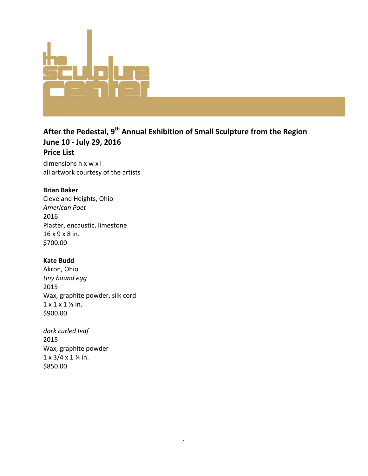

# **After the Pedestal, 9th Annual Exhibition of Small Sculpture from the Region June 10 - July 29, 2016 Price List**

dimensions h x w x l all artwork courtesy of the artists

### **Brian Baker**

Cleveland Heights, Ohio *American Poet* 2016 Plaster, encaustic, limestone 16 x 9 x 8 in. \$700.00

# **Kate Budd**

Akron, Ohio *tiny bound egg* 2015 Wax, graphite powder, silk cord 1 x 1 x 1 ½ in. \$900.00

*dark curled leaf* 2015 Wax, graphite powder  $1 \times 3/4 \times 1$  % in. \$850.00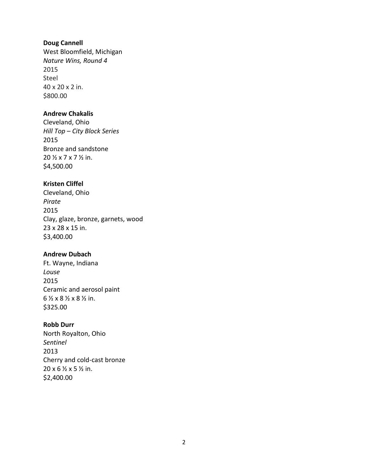#### **Doug Cannell**

West Bloomfield, Michigan *Nature Wins, Round 4* 2015 Steel 40 x 20 x 2 in. \$800.00

#### **Andrew Chakalis**

Cleveland, Ohio *Hill Top – City Block Series* 2015 Bronze and sandstone 20 ½ x 7 x 7 ½ in. \$4,500.00

### **Kristen Cliffel**

Cleveland, Ohio *Pirate* 2015 Clay, glaze, bronze, garnets, wood 23 x 28 x 15 in. \$3,400.00

#### **Andrew Dubach**

Ft. Wayne, Indiana *Louse* 2015 Ceramic and aerosol paint 6 ½ x 8 ½ x 8 ½ in. \$325.00

### **Robb Durr**

North Royalton, Ohio *Sentinel* 2013 Cherry and cold-cast bronze 20 x 6 ½ x 5 ½ in. \$2,400.00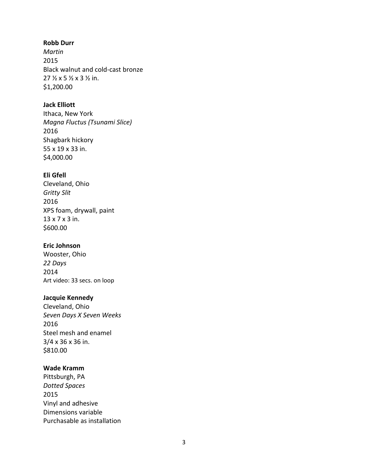### **Robb Durr**

*Martin* 2015 Black walnut and cold-cast bronze 27 ½ x 5 ½ x 3 ½ in. \$1,200.00

# **Jack Elliott**

Ithaca, New York *Magna Fluctus (Tsunami Slice)* 2016 Shagbark hickory 55 x 19 x 33 in. \$4,000.00

# **Eli Gfell**

Cleveland, Ohio *Gritty Slit* 2016 XPS foam, drywall, paint 13 x 7 x 3 in. \$600.00

# **Eric Johnson**

Wooster, Ohio *22 Days* 2014 Art video: 33 secs. on loop

# **Jacquie Kennedy**

Cleveland, Ohio *Seven Days X Seven Weeks* 2016 Steel mesh and enamel 3/4 x 36 x 36 in. \$810.00

# **Wade Kramm**

Pittsburgh, PA *Dotted Spaces* 2015 Vinyl and adhesive Dimensions variable Purchasable as installation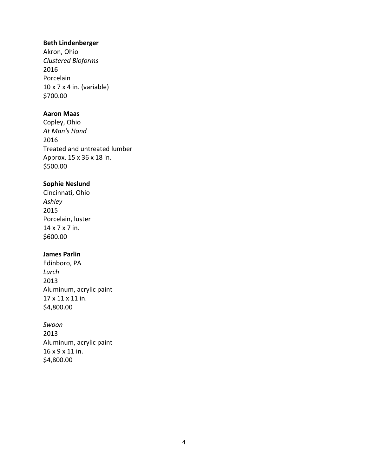#### **Beth Lindenberger**

Akron, Ohio *Clustered Bioforms* 2016 Porcelain 10 x 7 x 4 in. (variable) \$700.00

### **Aaron Maas**

Copley, Ohio *At Man's Hand* 2016 Treated and untreated lumber Approx. 15 x 36 x 18 in. \$500.00

# **Sophie Neslund**

Cincinnati, Ohio *Ashley* 2015 Porcelain, luster 14 x 7 x 7 in. \$600.00

#### **James Parlin**

Edinboro, PA *Lurch* 2013 Aluminum, acrylic paint 17 x 11 x 11 in. \$4,800.00

### *Swoon*

2013 Aluminum, acrylic paint 16 x 9 x 11 in. \$4,800.00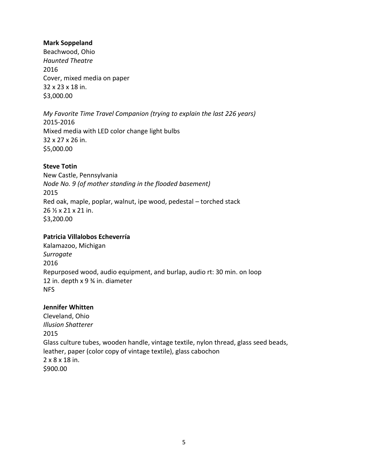### **Mark Soppeland**

Beachwood, Ohio *Haunted Theatre* 2016 Cover, mixed media on paper 32 x 23 x 18 in. \$3,000.00

*My Favorite Time Travel Companion (trying to explain the last 226 years)* 2015-2016 Mixed media with LED color change light bulbs 32 x 27 x 26 in. \$5,000.00

#### **Steve Totin**

New Castle, Pennsylvania *Node No. 9 (of mother standing in the flooded basement)* 2015 Red oak, maple, poplar, walnut, ipe wood, pedestal – torched stack 26 ½ x 21 x 21 in. \$3,200.00

# **Patricia Villalobos Echeverría**

Kalamazoo, Michigan *Surrogate* 2016 Repurposed wood, audio equipment, and burlap, audio rt: 30 min. on loop 12 in. depth x 9 ¾ in. diameter NFS

### **Jennifer Whitten**

Cleveland, Ohio *Illusion Shatterer* 2015 Glass culture tubes, wooden handle, vintage textile, nylon thread, glass seed beads, leather, paper (color copy of vintage textile), glass cabochon 2 x 8 x 18 in. \$900.00